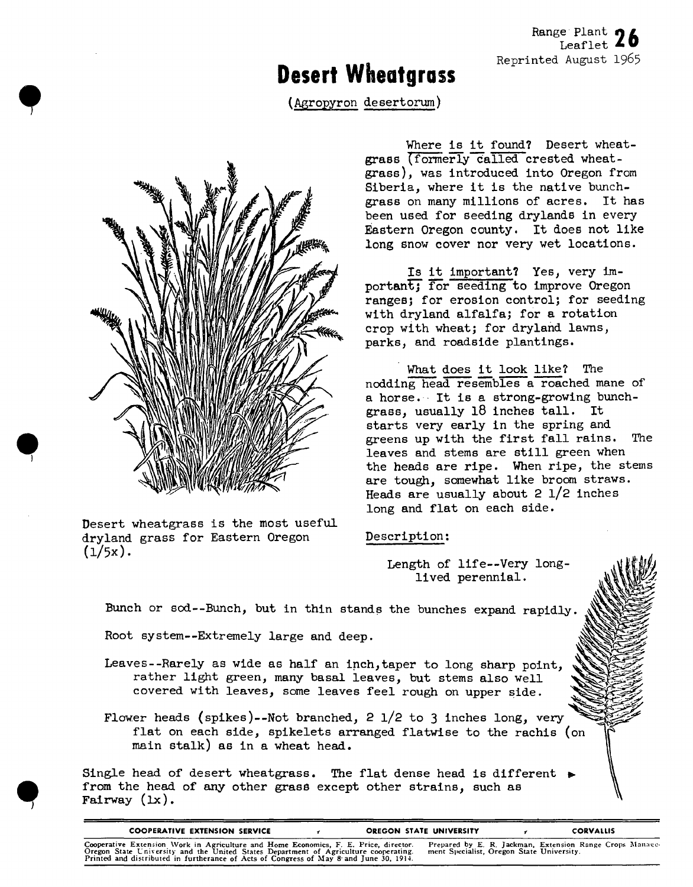## **Desert Wheatgrass**

(Agropyron desertorum)



**\***

*9*

Desert wheatgrass is the most useful dryland grass for Eastern Oregon  $(1/5x)$ .

Where is it found? Desert wheatgrass (formerly called crested wheatgrass), was introduced into Oregon from Siberia, where it is the native bunchgrass on many millions of acres. It has been used for seeding drylands in every Eastern Oregon county. It does not like long snow cover nor very wet locations.

Is it important? Yes, very important; for seeding to improve Oregon ranges; for erosion control; for seeding with dryland alfalfa; for a rotation crop with wheat; for dryland lawns, parks, and roadside plantings.

What does it look like? The nodding head resembles a reached mane of a horse. It is a strong-growing bunchgrass, usually 18 inches tall. It starts very early in the spring and greens up with the first fall rains. The leaves and stems are still green when the heads are ripe. When ripe, the stems are tough, somewhat like broom straws. Heads are usually about 2 l/2 inches long and flat on each side.

## Description:

Length of life--Very longlived perennial.

Bunch or sod--Bunch, but in thin stands the bunches expand rapidly.

Root system—Extremely large and deep.

- Leaves--Rarely as wide as half an inch,taper to long sharp point, rather light green, many basal leaves, but stems also well covered with leaves, some leaves feel rough on upper side.
- Flower heads (spikes)--Not branched, 2  $1/2$  to 3 inches long, very flat on each side, spikelets arranged flatwise to the rachis (on main stalk) as in a wheat head.

Single head of desert wheatgrass. The flat dense head is different  $\frac{1}{2}$ from the head of any other grass except other strains, such as Fairway (Ix).

| <b>COOPERATIVE EXTENSION SERVICE</b>                                                                                                                                                                                                                                   | OREGON STATE UNIVERSITY |                                           | <b>CORVALLIS</b>                                         |
|------------------------------------------------------------------------------------------------------------------------------------------------------------------------------------------------------------------------------------------------------------------------|-------------------------|-------------------------------------------|----------------------------------------------------------|
| Cooperative Extension Work in Agriculture and Home Economics, F. E. Price, director.<br>Oregon State University and the United States Department of Agriculture cooperating.<br>Printed and distributed in furtherance of Acts of Congress of May 8 and June 30, 1914. |                         | ment Specialist, Oregon State University. | Prepared by E. R. Jackman, Extension Range Crops Manage- |